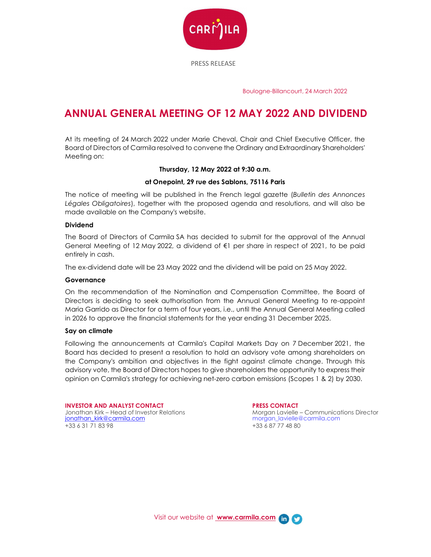

Boulogne-Billancourt, 24 March 2022

# ANNUAL GENERAL MEETING OF 12 MAY 2022 AND DIVIDEND

At its meeting of 24 March 2022 under Marie Cheval, Chair and Chief Executive Officer, the Board of Directors of Carmila resolved to convene the Ordinary and Extraordinary Shareholders' Meeting on:

# Thursday, 12 May 2022 at 9:30 a.m.

# at Onepoint, 29 rue des Sablons, 75116 Paris

The notice of meeting will be published in the French legal gazette (Bulletin des Annonces Légales Obligatoires), together with the proposed agenda and resolutions, and will also be made available on the Company's website.

# Dividend

The Board of Directors of Carmila SA has decided to submit for the approval of the Annual General Meeting of 12 May 2022, a dividend of €1 per share in respect of 2021, to be paid entirely in cash.

The ex-dividend date will be 23 May 2022 and the dividend will be paid on 25 May 2022.

## Governance

On the recommendation of the Nomination and Compensation Committee, the Board of Directors is deciding to seek authorisation from the Annual General Meeting to re-appoint Maria Garrido as Director for a term of four years, i.e., until the Annual General Meeting called in 2026 to approve the financial statements for the year ending 31 December 2025.

### Say on climate

Following the announcements at Carmila's Capital Markets Day on 7 December 2021, the Board has decided to present a resolution to hold an advisory vote among shareholders on the Company's ambition and objectives in the fight against climate change. Through this advisory vote, the Board of Directors hopes to give shareholders the opportunity to express their opinion on Carmila's strategy for achieving net-zero carbon emissions (Scopes 1 & 2) by 2030.

INVESTOR AND ANALYST CONTACT PRESS CONTACT +33 6 3 1 7 1 8 3 9 8 + 33 6 87 77 4 8 80

Jonathan Kirk – Head of Investor Relations More (Morgan Lavielle – Communications Director ionathan\_kirk@carmila.com<br>Morgan\_lavielle@carmila.com (Morgan Lavielle@carmila.com morgan\_lavielle@carmila.com